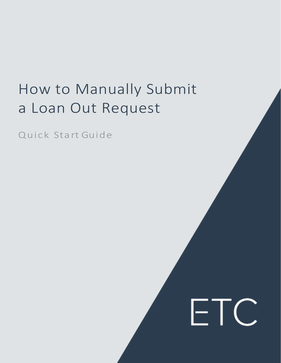## How to Manually Submit a Loan Out Request

ETC

Quick Sta rt Guide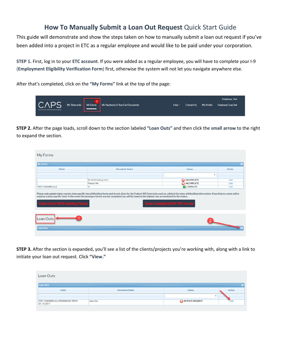## **How To Manually Submit a Loan Out Request** Quick Start Guide

This guide will demonstrate and show the steps taken on how to manually submit a loan out request if you've been added into a project in ETC as a regular employee and would like to be paid under your corporation.

**STEP 1.** First, log in to your **ETC account**. If you were added as a regular employee, you will have to complete your I-9 (**Employment Eligibility Verification Form**) first, otherwise the system will not let you navigate anywhere else.

After that's completed, click on the **"My Forms"** link at the top of the page:



**STEP 2.** After the page loads, scroll down to the section labeled **"Loan Outs"** and then click the **small arrow** to the right to expand the section.

| My Forms                            |                                                                                                                                                                                                                                                                                                                                                                  |                                  |             |
|-------------------------------------|------------------------------------------------------------------------------------------------------------------------------------------------------------------------------------------------------------------------------------------------------------------------------------------------------------------------------------------------------------------|----------------------------------|-------------|
| My Forms                            |                                                                                                                                                                                                                                                                                                                                                                  |                                  |             |
| Client                              | <b>Document Name</b>                                                                                                                                                                                                                                                                                                                                             | <b>Status</b>                    | Action      |
|                                     |                                                                                                                                                                                                                                                                                                                                                                  | ٠                                |             |
|                                     | CA WithHolding Form                                                                                                                                                                                                                                                                                                                                              | <b>B</b> INCOMPLETE              | <b>VIEW</b> |
|                                     | Federal W4                                                                                                                                                                                                                                                                                                                                                       | <b>B</b> INCOMPLETE              | <b>VIEW</b> |
| <b>TEST COMMERCIALS</b>             | 19                                                                                                                                                                                                                                                                                                                                                               | <b>COMPLETE</b>                  | VIEW        |
| <b>View State Withholding Forms</b> | Please note certain states require state specific tax withholding forms and do not allow for the Federal W4 Form to be used as a default for state withholding information. If working in a state which<br>requires a state specific form, in the event the necessary form/s are not completed you will be taxed at the highest rate as mandated by the state/s. | <b>View Completed WTPA Forms</b> |             |
| Loan Outs<br><b>Loan Outs</b>       |                                                                                                                                                                                                                                                                                                                                                                  |                                  |             |

**STEP 3.** After the section is expanded, you'll see a list of the clients/projects you're working with, along with a link to initiate your loan out request. Click **"View."**

| Loan Outs                                       |                      |                          |             |
|-------------------------------------------------|----------------------|--------------------------|-------------|
| <b>Loan Outs</b>                                |                      |                          |             |
| Client                                          | <b>Document Name</b> | <b>Status</b>            | Action      |
|                                                 |                      | $\overline{\phantom{a}}$ |             |
| TEST COMMERCIALS/REGRESSION TEST#<br>01.10.2017 | Loan Out             | INITIATE REQUEST         | <b>VIEW</b> |
|                                                 |                      |                          |             |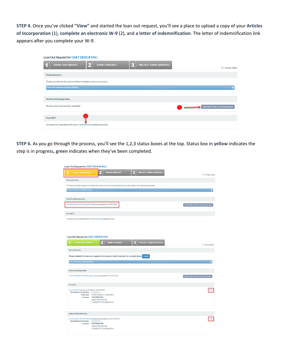**STEP 4.** Once you've clicked **"View"** and started the loan out request, you'll see a place to upload a copy of your **Articles of Incorporation** (1), **complete an electronic W-9** (2), and **a letter of indemnification**. The letter of indemnification link appears after you complete your W-9.

| Loan Out Request for GNET DEMO# 9461                                                            |                                  |
|-------------------------------------------------------------------------------------------------|----------------------------------|
| B<br>$\mathbf{Z}$<br>PROJECT ADMIN APPROVAL<br><b>SUBMIT REQUEST</b><br><b>SUBMIT DOCUMENTS</b> | Always Apply                     |
| <b>Status Summary</b>                                                                           |                                  |
| Please provide the documents below to initiate a loan out request.                              |                                  |
| <b>Loan Out Request Activity History</b>                                                        |                                  |
|                                                                                                 |                                  |
| <b>Articles of Incorporation</b>                                                                |                                  |
| No document has yet been uploaded                                                               | Upload Articles of Incorporation |
| $\overline{2}$<br>Form W-9                                                                      |                                  |
| You have not completed this form. Click here to complete one now.                               |                                  |

**STEP 6.** As you go through the process, you'll see the 1,2,3 status boxes at the top. Status box in **yellow** indicates the step is in progress**, green** indicates when they've been completed.

| Loan Out Request for GNET DEMO# 9461                                                                                          |                                             |
|-------------------------------------------------------------------------------------------------------------------------------|---------------------------------------------|
| <b>PROJECT ADMIN APPROVAL</b><br><b>SUBMIT REQUEST</b><br><b>SUBMIT DOCUMENTS</b><br>ĸ.<br>1                                  | Always Apply                                |
| <b>Status Summary</b>                                                                                                         |                                             |
| You have initiated a request to be paid out as a loan out for this project but have not submitted all the required documents. |                                             |
| <b>Loan Out Request Activity History</b>                                                                                      |                                             |
|                                                                                                                               |                                             |
| <b>Articles of Incorporation</b>                                                                                              |                                             |
| Current Articles of Incorporation in use was uploaded on 10/10/2018                                                           | <b>Upload New Articles of Incorporation</b> |
| Form W-9                                                                                                                      |                                             |
| You have not completed this form. Click here to complete one now.                                                             |                                             |
|                                                                                                                               |                                             |
|                                                                                                                               |                                             |
|                                                                                                                               |                                             |
| Loan Out Request for GNET DEMO# 9461                                                                                          |                                             |
| ĸ<br><b>SUBMIT DOCUMENTS</b><br><b>SUBMIT REQUEST</b><br>PROJECT ADMIN APPROVAL                                               | Always Apply                                |
| <b>Status Summary</b>                                                                                                         |                                             |
| Please submit this loan out request to the project administrator for consideration. Submit                                    |                                             |
|                                                                                                                               |                                             |
| Loan Out Request Activity History                                                                                             |                                             |
| <b>Articles of Incorporation</b>                                                                                              |                                             |
| Current Articles of Incorporation in use was uploaded on 10/10/2018                                                           | Upload New Articles of Incorporation        |
|                                                                                                                               |                                             |
| Form W-9                                                                                                                      |                                             |
| Current W-9 in use was completed on 10/10/2018:<br><b>Tax Identification Number</b>                                           |                                             |
| <b>Filing Type</b><br><b>Limited Liability C Corporation</b><br>Company TEST BUSINESS                                         |                                             |
| 10600 VIRGINIA AVE<br>CULVER CITY, CA 90232-3514                                                                              |                                             |
|                                                                                                                               |                                             |
|                                                                                                                               |                                             |
| <b>Letter of Indemnification</b>                                                                                              |                                             |
| Current Letter of Indemnification in use was completed on 10/10/2018:<br><b>Tax Identification Number</b>                     |                                             |
| Company TEST BUSINESS<br>10600 VIRGINIA AVE<br>CULVER CITY, CA 902323514                                                      |                                             |
|                                                                                                                               |                                             |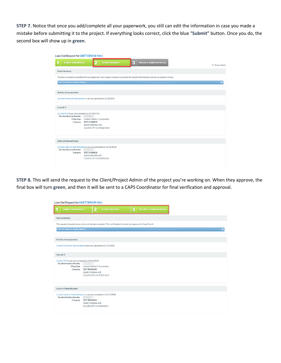**STEP 7.** Notice that once you add/complete all your paperwork, you still can edit the information in case you made a mistake before submitting it to the project. If everything looks correct, click the blue "**Submit"** button. Once you do, the second box will show up in **green**.

| Loan Out Request for GNET DEMO# 9461                                                |                                                                                                                                               |   |                        |              |
|-------------------------------------------------------------------------------------|-----------------------------------------------------------------------------------------------------------------------------------------------|---|------------------------|--------------|
| <b>SUBMIT DOCUMENTS</b>                                                             | <b>SUBMIT REQUEST</b>                                                                                                                         | B | PROJECT ADMIN APPROVAL | Always Apply |
| <b>Status Summary</b>                                                               |                                                                                                                                               |   |                        |              |
|                                                                                     | You have successfully submitted all your paperwork. Your request is being reviewed by the project administrator and may be subject to denial. |   |                        |              |
| <b>Loan Out Request Activity History</b>                                            |                                                                                                                                               |   |                        | $\bullet$    |
|                                                                                     |                                                                                                                                               |   |                        |              |
| <b>Articles of Incorporation</b>                                                    |                                                                                                                                               |   |                        |              |
|                                                                                     | Current Articles of Incorporation in use was uploaded on 10/10/2018                                                                           |   |                        |              |
| Form W-9                                                                            |                                                                                                                                               |   |                        |              |
|                                                                                     |                                                                                                                                               |   |                        |              |
| Current W-9 in use was completed on 10/10/2018:<br><b>Tax Identification Number</b> |                                                                                                                                               |   |                        |              |
| <b>Filing Type</b><br>Company                                                       | Limited Liability C Corporation<br><b>TEST BUSINESS</b>                                                                                       |   |                        |              |
|                                                                                     | 10600 VIRGINIA AVE<br>CULVER CITY, CA 90232-3514                                                                                              |   |                        |              |
|                                                                                     |                                                                                                                                               |   |                        |              |
| <b>Letter of Indemnification</b>                                                    |                                                                                                                                               |   |                        |              |
|                                                                                     |                                                                                                                                               |   |                        |              |
| <b>Tax Identification Number</b>                                                    | Current Letter of Indemnification in use was completed on 10/10/2018:                                                                         |   |                        |              |
|                                                                                     | Company TEST BUSINESS<br>10600 VIRGINIA AVE                                                                                                   |   |                        |              |
|                                                                                     | CULVER CITY, CA 902323514                                                                                                                     |   |                        |              |
|                                                                                     |                                                                                                                                               |   |                        |              |

**STEP 8.** This will send the request to the Client/Project Admin of the project you're working on. When they approve, the final box will turn **green**, and then it will be sent to a CAPS Coordinator for final verification and approval.

| Loan Out Request for GNET DEMO# 9461                                                                                             |                                                                                                             |                       |   |                               |  |
|----------------------------------------------------------------------------------------------------------------------------------|-------------------------------------------------------------------------------------------------------------|-----------------------|---|-------------------------------|--|
| <b>SUBMIT DOCUMENTS</b>                                                                                                          | Ŷþ                                                                                                          | <b>SUBMIT REQUEST</b> | з | <b>PROJECT ADMIN APPROVAL</b> |  |
| <b>Status Summary</b>                                                                                                            |                                                                                                             |                       |   |                               |  |
| The request to be paid out as a loan out has been accepted. This is still subject to review and approval by Caps Payroll.        |                                                                                                             |                       |   |                               |  |
| <b>Loan Out Request Activity History</b>                                                                                         |                                                                                                             |                       |   |                               |  |
|                                                                                                                                  |                                                                                                             |                       |   |                               |  |
| <b>Articles of Incorporation</b>                                                                                                 |                                                                                                             |                       |   |                               |  |
| Current Articles of Incorporation in use was uploaded on 10/10/2018                                                              |                                                                                                             |                       |   |                               |  |
| Form W-9<br>Current W-9 in use was completed on 10/10/2018:<br><b>Tax Identification Number</b><br><b>Filing Type</b><br>Company | Limited Liability C Corporation<br><b>TEST BUSINESS</b><br>10600 VIRGINIA AVE<br>CULVER CITY, CA 90232-3514 |                       |   |                               |  |
| Letter of Indemnification                                                                                                        |                                                                                                             |                       |   |                               |  |
| Current Letter of Indemnification in use was completed on 10/10/2018:<br><b>Tax Identification Number</b><br>Company             | <b>TEST BUSINESS</b><br>10600 VIRGINIA AVE<br>CULVER CITY, CA 902323514                                     |                       |   |                               |  |